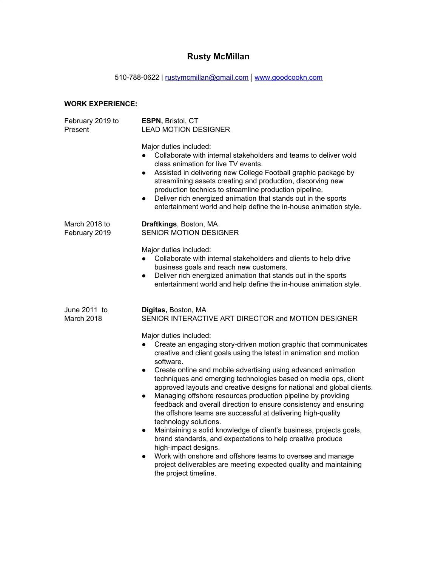## **Rusty McMillan**

510-788-0622 | [rustymcmillan@gmail.com](mailto:rustymcmillan@gmail.com) | [www.goodcookn.com](http://www.goodcookn.com/)

## **WORK EXPERIENCE:**

| February 2019 to<br>Present    | ESPN, Bristol, CT<br><b>LEAD MOTION DESIGNER</b>                                                                                                                                                                                                                                                                                                                                                                                                                                                                                                                                                                                                                                                                                                                                                                                                                                                                                                                                                                                                                                                  |
|--------------------------------|---------------------------------------------------------------------------------------------------------------------------------------------------------------------------------------------------------------------------------------------------------------------------------------------------------------------------------------------------------------------------------------------------------------------------------------------------------------------------------------------------------------------------------------------------------------------------------------------------------------------------------------------------------------------------------------------------------------------------------------------------------------------------------------------------------------------------------------------------------------------------------------------------------------------------------------------------------------------------------------------------------------------------------------------------------------------------------------------------|
|                                | Major duties included:<br>Collaborate with internal stakeholders and teams to deliver wold<br>$\bullet$<br>class animation for live TV events.<br>Assisted in delivering new College Football graphic package by<br>$\bullet$<br>streamlining assets creating and production, discorving new<br>production technics to streamline production pipeline.<br>Deliver rich energized animation that stands out in the sports<br>$\bullet$<br>entertainment world and help define the in-house animation style.                                                                                                                                                                                                                                                                                                                                                                                                                                                                                                                                                                                        |
| March 2018 to<br>February 2019 | Draftkings, Boston, MA<br>SENIOR MOTION DESIGNER                                                                                                                                                                                                                                                                                                                                                                                                                                                                                                                                                                                                                                                                                                                                                                                                                                                                                                                                                                                                                                                  |
|                                | Major duties included:<br>Collaborate with internal stakeholders and clients to help drive<br>$\bullet$<br>business goals and reach new customers.<br>Deliver rich energized animation that stands out in the sports<br>$\bullet$<br>entertainment world and help define the in-house animation style.                                                                                                                                                                                                                                                                                                                                                                                                                                                                                                                                                                                                                                                                                                                                                                                            |
| June 2011 to<br>March 2018     | Digitas, Boston, MA<br>SENIOR INTERACTIVE ART DIRECTOR and MOTION DESIGNER<br>Major duties included:<br>Create an engaging story-driven motion graphic that communicates<br>$\bullet$<br>creative and client goals using the latest in animation and motion<br>software.<br>Create online and mobile advertising using advanced animation<br>$\bullet$<br>techniques and emerging technologies based on media ops, client<br>approved layouts and creative designs for national and global clients.<br>Managing offshore resources production pipeline by providing<br>$\bullet$<br>feedback and overall direction to ensure consistency and ensuring<br>the offshore teams are successful at delivering high-quality<br>technology solutions.<br>Maintaining a solid knowledge of client's business, projects goals,<br>$\bullet$<br>brand standards, and expectations to help creative produce<br>high-impact designs.<br>Work with onshore and offshore teams to oversee and manage<br>$\bullet$<br>project deliverables are meeting expected quality and maintaining<br>the project timeline. |